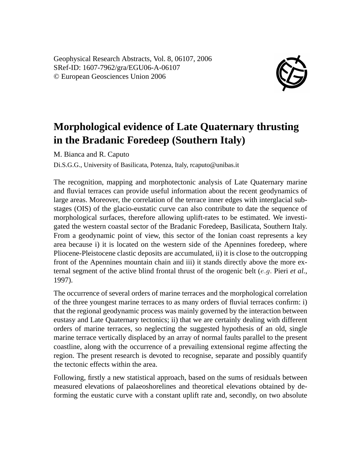Geophysical Research Abstracts, Vol. 8, 06107, 2006 SRef-ID: 1607-7962/gra/EGU06-A-06107 © European Geosciences Union 2006



## **Morphological evidence of Late Quaternary thrusting in the Bradanic Foredeep (Southern Italy)**

M. Bianca and R. Caputo

Di.S.G.G., University of Basilicata, Potenza, Italy, rcaputo@unibas.it

The recognition, mapping and morphotectonic analysis of Late Quaternary marine and fluvial terraces can provide useful information about the recent geodynamics of large areas. Moreover, the correlation of the terrace inner edges with interglacial substages (OIS) of the glacio-eustatic curve can also contribute to date the sequence of morphological surfaces, therefore allowing uplift-rates to be estimated. We investigated the western coastal sector of the Bradanic Foredeep, Basilicata, Southern Italy. From a geodynamic point of view, this sector of the Ionian coast represents a key area because i) it is located on the western side of the Apennines foredeep, where Pliocene-Pleistocene clastic deposits are accumulated, ii) it is close to the outcropping front of the Apennines mountain chain and iii) it stands directly above the more external segment of the active blind frontal thrust of the orogenic belt (e.g. Pieri *et al.*, 1997).

The occurrence of several orders of marine terraces and the morphological correlation of the three youngest marine terraces to as many orders of fluvial terraces confirm: i) that the regional geodynamic process was mainly governed by the interaction between eustasy and Late Quaternary tectonics; ii) that we are certainly dealing with different orders of marine terraces, so neglecting the suggested hypothesis of an old, single marine terrace vertically displaced by an array of normal faults parallel to the present coastline, along with the occurrence of a prevailing extensional regime affecting the region. The present research is devoted to recognise, separate and possibly quantify the tectonic effects within the area.

Following, firstly a new statistical approach, based on the sums of residuals between measured elevations of palaeoshorelines and theoretical elevations obtained by deforming the eustatic curve with a constant uplift rate and, secondly, on two absolute